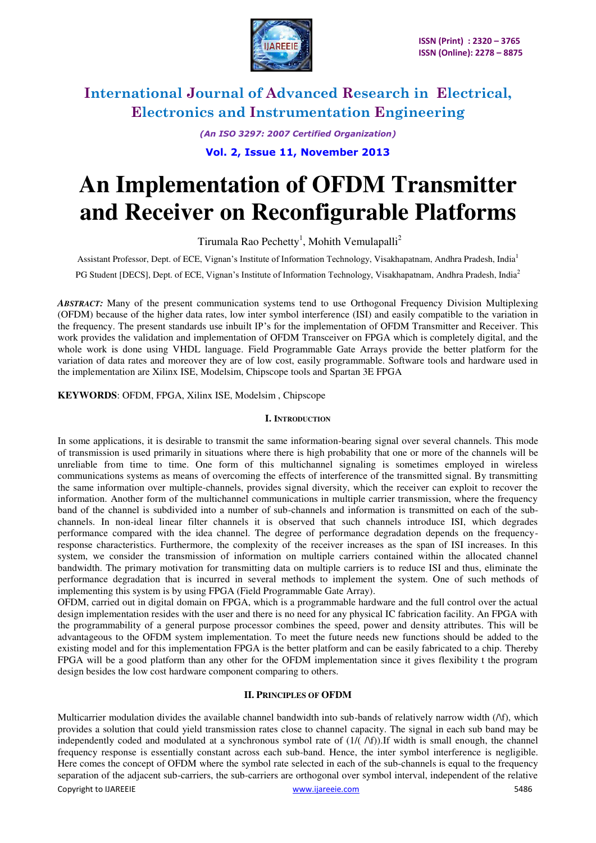

*(An ISO 3297: 2007 Certified Organization)* 

**Vol. 2, Issue 11, November 2013**

# **An Implementation of OFDM Transmitter and Receiver on Reconfigurable Platforms**

Tirumala Rao Pechetty<sup>1</sup>, Mohith Vemulapalli<sup>2</sup>

Assistant Professor, Dept. of ECE, Vignan's Institute of Information Technology, Visakhapatnam, Andhra Pradesh, India<sup>1</sup> PG Student [DECS], Dept. of ECE, Vignan's Institute of Information Technology, Visakhapatnam, Andhra Pradesh, India<sup>2</sup>

*ABSTRACT:* Many of the present communication systems tend to use Orthogonal Frequency Division Multiplexing (OFDM) because of the higher data rates, low inter symbol interference (ISI) and easily compatible to the variation in the frequency. The present standards use inbuilt IP's for the implementation of OFDM Transmitter and Receiver. This work provides the validation and implementation of OFDM Transceiver on FPGA which is completely digital, and the whole work is done using VHDL language. Field Programmable Gate Arrays provide the better platform for the variation of data rates and moreover they are of low cost, easily programmable. Software tools and hardware used in the implementation are Xilinx ISE, Modelsim, Chipscope tools and Spartan 3E FPGA

**KEYWORDS**: OFDM, FPGA, Xilinx ISE, Modelsim , Chipscope

#### **I. INTRODUCTION**

In some applications, it is desirable to transmit the same information-bearing signal over several channels. This mode of transmission is used primarily in situations where there is high probability that one or more of the channels will be unreliable from time to time. One form of this multichannel signaling is sometimes employed in wireless communications systems as means of overcoming the effects of interference of the transmitted signal. By transmitting the same information over multiple-channels, provides signal diversity, which the receiver can exploit to recover the information. Another form of the multichannel communications in multiple carrier transmission, where the frequency band of the channel is subdivided into a number of sub-channels and information is transmitted on each of the subchannels. In non-ideal linear filter channels it is observed that such channels introduce ISI, which degrades performance compared with the idea channel. The degree of performance degradation depends on the frequencyresponse characteristics. Furthermore, the complexity of the receiver increases as the span of ISI increases. In this system, we consider the transmission of information on multiple carriers contained within the allocated channel bandwidth. The primary motivation for transmitting data on multiple carriers is to reduce ISI and thus, eliminate the performance degradation that is incurred in several methods to implement the system. One of such methods of implementing this system is by using FPGA (Field Programmable Gate Array).

OFDM, carried out in digital domain on FPGA, which is a programmable hardware and the full control over the actual design implementation resides with the user and there is no need for any physical IC fabrication facility. An FPGA with the programmability of a general purpose processor combines the speed, power and density attributes. This will be advantageous to the OFDM system implementation. To meet the future needs new functions should be added to the existing model and for this implementation FPGA is the better platform and can be easily fabricated to a chip. Thereby FPGA will be a good platform than any other for the OFDM implementation since it gives flexibility t the program design besides the low cost hardware component comparing to others.

#### **II. PRINCIPLES OF OFDM**

Copyright to IJAREEIE www.ijareeie.com 5486 Multicarrier modulation divides the available channel bandwidth into sub-bands of relatively narrow width (/\f), which provides a solution that could yield transmission rates close to channel capacity. The signal in each sub band may be independently coded and modulated at a synchronous symbol rate of  $(1/(\Lambda f))$ . If width is small enough, the channel frequency response is essentially constant across each sub-band. Hence, the inter symbol interference is negligible. Here comes the concept of OFDM where the symbol rate selected in each of the sub-channels is equal to the frequency separation of the adjacent sub-carriers, the sub-carriers are orthogonal over symbol interval, independent of the relative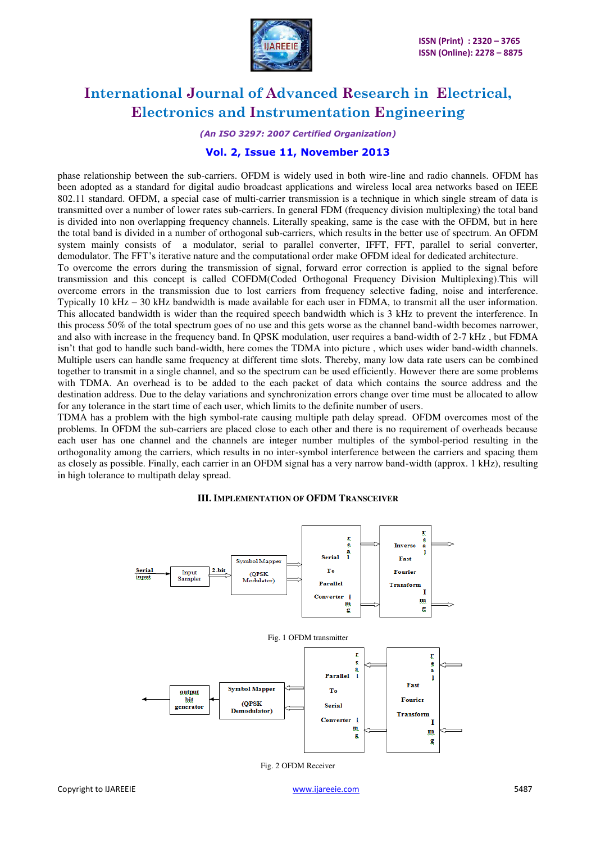

*(An ISO 3297: 2007 Certified Organization)* 

#### **Vol. 2, Issue 11, November 2013**

phase relationship between the sub-carriers. OFDM is widely used in both wire-line and radio channels. OFDM has been adopted as a standard for digital audio broadcast applications and wireless local area networks based on IEEE 802.11 standard. OFDM, a special case of multi-carrier transmission is a technique in which single stream of data is transmitted over a number of lower rates sub-carriers. In general FDM (frequency division multiplexing) the total band is divided into non overlapping frequency channels. Literally speaking, same is the case with the OFDM, but in here the total band is divided in a number of orthogonal sub-carriers, which results in the better use of spectrum. An OFDM system mainly consists of a modulator, serial to parallel converter, IFFT, FFT, parallel to serial converter, demodulator. The FFT's iterative nature and the computational order make OFDM ideal for dedicated architecture.

To overcome the errors during the transmission of signal, forward error correction is applied to the signal before transmission and this concept is called COFDM(Coded Orthogonal Frequency Division Multiplexing).This will overcome errors in the transmission due to lost carriers from frequency selective fading, noise and interference. Typically 10 kHz – 30 kHz bandwidth is made available for each user in FDMA, to transmit all the user information. This allocated bandwidth is wider than the required speech bandwidth which is 3 kHz to prevent the interference. In this process 50% of the total spectrum goes of no use and this gets worse as the channel band-width becomes narrower, and also with increase in the frequency band. In QPSK modulation, user requires a band-width of 2-7 kHz , but FDMA isn't that god to handle such band-width, here comes the TDMA into picture , which uses wider band-width channels. Multiple users can handle same frequency at different time slots. Thereby, many low data rate users can be combined together to transmit in a single channel, and so the spectrum can be used efficiently. However there are some problems with TDMA. An overhead is to be added to the each packet of data which contains the source address and the destination address. Due to the delay variations and synchronization errors change over time must be allocated to allow for any tolerance in the start time of each user, which limits to the definite number of users.

TDMA has a problem with the high symbol-rate causing multiple path delay spread. OFDM overcomes most of the problems. In OFDM the sub-carriers are placed close to each other and there is no requirement of overheads because each user has one channel and the channels are integer number multiples of the symbol-period resulting in the orthogonality among the carriers, which results in no inter-symbol interference between the carriers and spacing them as closely as possible. Finally, each carrier in an OFDM signal has a very narrow band-width (approx. 1 kHz), resulting in high tolerance to multipath delay spread.

#### s<br>a **Inverse** ă Serial Fast Symbol Mapper Serial To Input (QPSK **Fourier** input Sample: Modulator Parallel **Transform** т **Converter** m g g Fig. 1 OFDM transmitter r  $\mathbf{r}$ **e**  $\frac{a}{1}$ ā Parallel ı Fast Symbol Mapper To output bit **Fourier (OPSK)** Serial generato Demodulator) **Transform** Converter Т m  $\mathbf{m}$ g g

#### **III. IMPLEMENTATION OF OFDM TRANSCEIVER**

Fig. 2 OFDM Receiver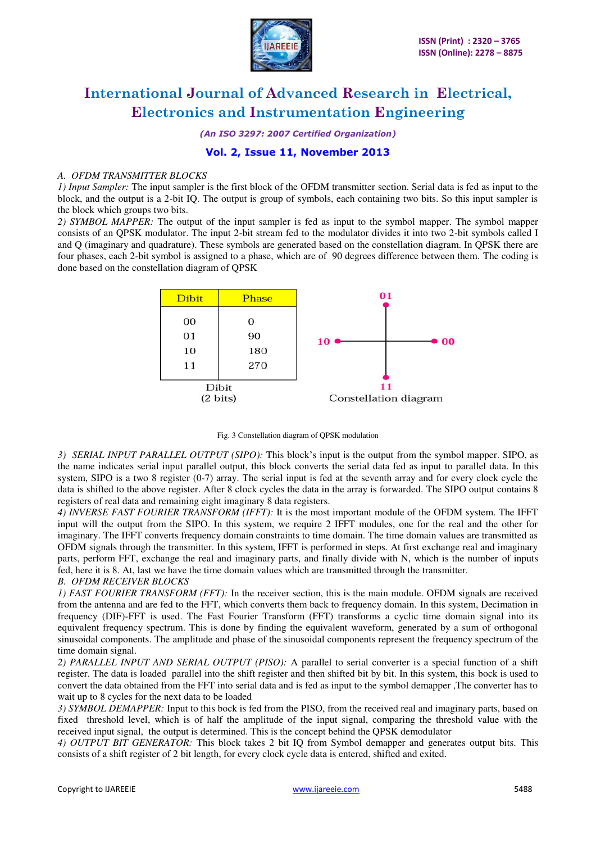

*(An ISO 3297: 2007 Certified Organization)* 

#### **Vol. 2, Issue 11, November 2013**

#### *A. OFDM TRANSMITTER BLOCKS*

*1) Input Sampler:* The input sampler is the first block of the OFDM transmitter section. Serial data is fed as input to the block, and the output is a 2-bit IQ. The output is group of symbols, each containing two bits. So this input sampler is the block which groups two bits.

*2) SYMBOL MAPPER:* The output of the input sampler is fed as input to the symbol mapper. The symbol mapper consists of an QPSK modulator. The input 2-bit stream fed to the modulator divides it into two 2-bit symbols called I and Q (imaginary and quadrature). These symbols are generated based on the constellation diagram. In QPSK there are four phases, each 2-bit symbol is assigned to a phase, which are of 90 degrees difference between them. The coding is done based on the constellation diagram of QPSK



Fig. 3 Constellation diagram of QPSK modulation

*3) SERIAL INPUT PARALLEL OUTPUT (SIPO):* This block's input is the output from the symbol mapper. SIPO, as the name indicates serial input parallel output, this block converts the serial data fed as input to parallel data. In this system, SIPO is a two 8 register (0-7) array. The serial input is fed at the seventh array and for every clock cycle the data is shifted to the above register. After 8 clock cycles the data in the array is forwarded. The SIPO output contains 8 registers of real data and remaining eight imaginary 8 data registers.

*4) INVERSE FAST FOURIER TRANSFORM (IFFT):* It is the most important module of the OFDM system. The IFFT input will the output from the SIPO. In this system, we require 2 IFFT modules, one for the real and the other for imaginary. The IFFT converts frequency domain constraints to time domain. The time domain values are transmitted as OFDM signals through the transmitter. In this system, IFFT is performed in steps. At first exchange real and imaginary parts, perform FFT, exchange the real and imaginary parts, and finally divide with N, which is the number of inputs fed, here it is 8. At, last we have the time domain values which are transmitted through the transmitter.

#### *B. OFDM RECEIVER BLOCKS*

*1) FAST FOURIER TRANSFORM (FFT):* In the receiver section, this is the main module. OFDM signals are received from the antenna and are fed to the FFT, which converts them back to frequency domain. In this system, Decimation in frequency (DIF)-FFT is used. The Fast Fourier Transform (FFT) transforms a cyclic time domain signal into its equivalent frequency spectrum. This is done by finding the equivalent waveform, generated by a sum of orthogonal sinusoidal components. The amplitude and phase of the sinusoidal components represent the frequency spectrum of the time domain signal.

*2) PARALLEL INPUT AND SERIAL OUTPUT (PISO):* A parallel to serial converter is a special function of a shift register. The data is loaded parallel into the shift register and then shifted bit by bit. In this system, this bock is used to convert the data obtained from the FFT into serial data and is fed as input to the symbol demapper ,The converter has to wait up to 8 cycles for the next data to be loaded

*3) SYMBOL DEMAPPER:* Input to this bock is fed from the PISO, from the received real and imaginary parts, based on fixed threshold level, which is of half the amplitude of the input signal, comparing the threshold value with the received input signal, the output is determined. This is the concept behind the QPSK demodulator

*4) OUTPUT BIT GENERATOR:* This block takes 2 bit IQ from Symbol demapper and generates output bits. This consists of a shift register of 2 bit length, for every clock cycle data is entered, shifted and exited.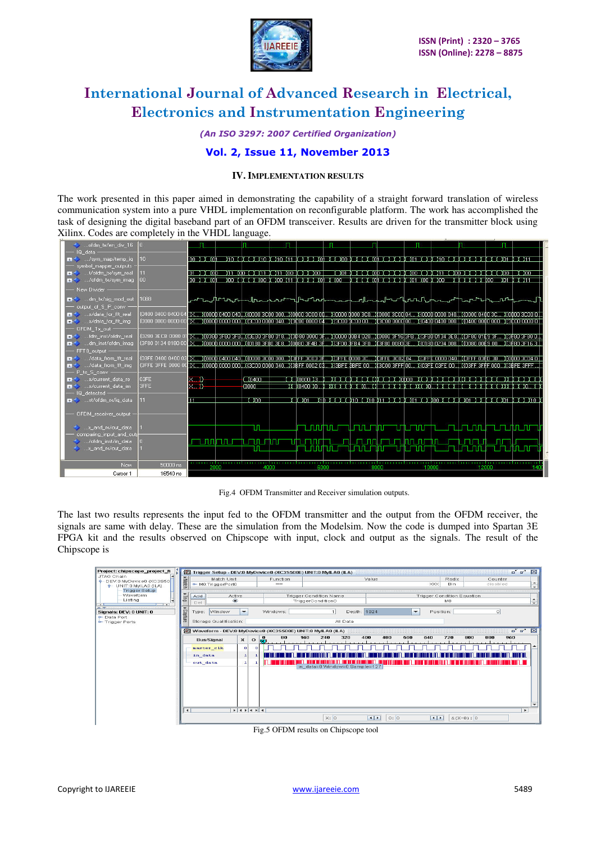

*(An ISO 3297: 2007 Certified Organization)* 

### **Vol. 2, Issue 11, November 2013**

#### **IV. IMPLEMENTATION RESULTS**

The work presented in this paper aimed in demonstrating the capability of a straight forward translation of wireless communication system into a pure VHDL implementation on reconfigurable platform. The work has accomplished the task of designing the digital baseband part of an OFDM transceiver. Results are driven for the transmitter block using Xilinx. Codes are completely in the VHDL language.

| do  ofdm_tx/en_div_16                                                                                                                                                                                                          |                 |                                                                                                                                                                                                                                |                                                                                   |                    |                     |                                                  |       |       |                            |                                                                         |           |
|--------------------------------------------------------------------------------------------------------------------------------------------------------------------------------------------------------------------------------|-----------------|--------------------------------------------------------------------------------------------------------------------------------------------------------------------------------------------------------------------------------|-----------------------------------------------------------------------------------|--------------------|---------------------|--------------------------------------------------|-------|-------|----------------------------|-------------------------------------------------------------------------|-----------|
| IQ data -                                                                                                                                                                                                                      |                 |                                                                                                                                                                                                                                |                                                                                   |                    |                     |                                                  |       |       |                            |                                                                         |           |
| sym map/temp iq                                                                                                                                                                                                                | 10 <sub>1</sub> | <b>TOO IN TOT</b>                                                                                                                                                                                                              | Χ10 ΧΝΧΧΧ10 Ν Χ10 Χ11 Ν ΧΧΧΧ0 Η ΧΧ00 Ν ΧΧΧ0 Η ΧΧΧΧΝ Χ01 ΧΧΝ Χ10 ΧΧΝΧΧΧΧΝ ΧΧ01 Ν Χ |                    |                     |                                                  |       |       |                            |                                                                         |           |
| symbol mapper outputs                                                                                                                                                                                                          |                 |                                                                                                                                                                                                                                |                                                                                   |                    |                     |                                                  |       |       |                            |                                                                         |           |
| tyle the state of the twist of the twist of the twist of the twist of the twist of the twist of the twist of the twist of the twist of the twist of the twist of the twist of the twist of the twist of the twist of the twist |                 | <b>DISTURB</b>                                                                                                                                                                                                                 | X11 XOO X X X11 X X11 XOO X X X XOO I                                             |                    |                     | דדו או אין 100 אין אין אין 100 אין אין 100 אין א |       |       | ירו החובור                 | ו החרורות ו                                                             | nn Y      |
| m- /ofdm tx/sym imag                                                                                                                                                                                                           | 00              | $00 \times 100$                                                                                                                                                                                                                | . 200 1 1 1 1 100 1 100 111 1 1 1 1 100 1                                         |                    |                     | IN YEAR OLD YEAR YOU YOU YOU KNOO                |       |       | TITITI MOO                 |                                                                         | דדנ ניסוד |
| New Divider -                                                                                                                                                                                                                  |                 |                                                                                                                                                                                                                                |                                                                                   |                    |                     |                                                  |       |       |                            |                                                                         |           |
| m-<> dm_tx/sig_mod_out                                                                                                                                                                                                         | 1088            | ┌ <b>~</b> ┖╌╷┦╙╶ᠾ╻┚┶╶╢┖╙┙┶╺┟┎┸╌┙║┎┸╻┙┎┰┟╌╌╌┶╌┙┩╌┧╟┶┚╜╹┧┖╻┎╻┦╏╵╁┷┸┙┖┟┹┟┰╶┖┎╻┚┰┖┪╸                                                                                                                                              |                                                                                   |                    |                     |                                                  |       |       |                            |                                                                         |           |
| output of S P conv                                                                                                                                                                                                             |                 |                                                                                                                                                                                                                                |                                                                                   |                    |                     |                                                  |       |       |                            |                                                                         |           |
| w/data for fft real                                                                                                                                                                                                            |                 | (0400 0400 0400 04 (X.,, X0000 0400 040, X0000 3C00 000, X0000 3C00 00, X0000 0000 3C0, X0000 3C00 04, X0000 0000 040, X0000 0400 3C., X0000 3C00 0, X0000 3C00 0, X0000 3C00 0, X0000 0, X0000 0, X0000 3C00 0, X0000 3C00 0, |                                                                                   |                    |                     |                                                  |       |       |                            |                                                                         |           |
| w/data_for_fft_img                                                                                                                                                                                                             |                 |                                                                                                                                                                                                                                |                                                                                   |                    |                     |                                                  |       |       |                            |                                                                         |           |
| OFDM Tx out -                                                                                                                                                                                                                  |                 |                                                                                                                                                                                                                                |                                                                                   |                    |                     |                                                  |       |       |                            |                                                                         |           |
| m-<> fdm_inst/ofdm_real                                                                                                                                                                                                        |                 | .0280 3ECB 0080 01 (X,,,, X(0380 3F80 3F8,),X(3E80 3F80 018,,,X(3D80 0000 3F,,,,X(0000 0084 020,,,X(0080 3F16 3F8,,,X(3F80 0134 3E8,,X(3F80 01É9 3F,,,,X(3F80 3F80 0,,                                                         |                                                                                   |                    |                     |                                                  |       |       |                            |                                                                         |           |
| m- dm_inst/ofdm_imag                                                                                                                                                                                                           |                 | (3F80 0134 0180 00 {X,,, ){0000 0000 000  ){0180 3F\$0 3E8){0080 3F4B 3F ){3F00 3FB4 3F0){{3F80 0080 3E ){0180 0234 008  ){0080 00É9 00 }{3F80 3F16 3.                                                                         |                                                                                   |                    |                     |                                                  |       |       |                            |                                                                         |           |
| FFT8_output -                                                                                                                                                                                                                  |                 |                                                                                                                                                                                                                                |                                                                                   |                    |                     |                                                  |       |       |                            |                                                                         |           |
| Mata_from_fft_real                                                                                                                                                                                                             |                 |                                                                                                                                                                                                                                |                                                                                   |                    |                     |                                                  |       |       |                            |                                                                         |           |
| the Mullet of Maria Line and Mullet in the Mullet                                                                                                                                                                              |                 | (ЭFFE ЭFFE 0000 OC (Х.,, )(ОООФ 0000 ООО),)(ЭСОО ООФО 040)(ЭВFF 0002 ОЗ.,, )(ЭВFE 3ВFE 00)(ЭСОО ЭFFF 00)(ОЭFE 03FE 00)(ОЭFF ЭFfF 000)(ЭВFE 3FFF )                                                                              |                                                                                   |                    |                     |                                                  |       |       |                            |                                                                         |           |
| P to S conv -                                                                                                                                                                                                                  |                 |                                                                                                                                                                                                                                |                                                                                   |                    |                     |                                                  |       |       |                            |                                                                         |           |
| s/current data re                                                                                                                                                                                                              | 03FE            | X.D                                                                                                                                                                                                                            | $\Box 0400$                                                                       |                    |                     |                                                  |       |       |                            |                                                                         |           |
| w/current_data_im                                                                                                                                                                                                              | 3FFE            | $x=0$                                                                                                                                                                                                                          | (0000)                                                                            |                    |                     |                                                  |       |       |                            | ΥΥ "ΧΟ4ΟΟ ΧΟ" ΈΧΥΥΧ ΈΚΥΧΟ ΥΧ' ΥΥΧΥΚΉ ΥΥΧΥΧΟΪ ΥΥΧΥΚΉ ΥΥΧΥΚΉ ΥΥΧΥΚΎ ΧΟ ΥΝ |           |
| IQ detected -                                                                                                                                                                                                                  |                 |                                                                                                                                                                                                                                |                                                                                   |                    |                     |                                                  |       |       |                            |                                                                         |           |
| st/ofdm rx/ig data                                                                                                                                                                                                             |                 | Ш                                                                                                                                                                                                                              | ممدر                                                                              | דסנר ור נ          |                     |                                                  |       |       |                            | YTD YYYY Y YTO YYTO YTT YYYYY YOT YYYOO YYYYY YOT YYYYY YOT YYYYYTO B   |           |
|                                                                                                                                                                                                                                |                 |                                                                                                                                                                                                                                |                                                                                   |                    |                     |                                                  |       |       |                            |                                                                         |           |
| OFDM_receiver_output -                                                                                                                                                                                                         |                 |                                                                                                                                                                                                                                |                                                                                   |                    |                     |                                                  |       |       |                            |                                                                         |           |
| x_and_rx/out_data                                                                                                                                                                                                              |                 |                                                                                                                                                                                                                                | ΙП                                                                                | <u>L NININ TET</u> |                     | وارتو كراول                                      |       |       | الارار والاحتكار واراوة وا | <b>TITL NATION</b>                                                      |           |
| comparing input and out                                                                                                                                                                                                        |                 |                                                                                                                                                                                                                                |                                                                                   |                    |                     |                                                  |       |       |                            |                                                                         |           |
| Maxwell Montana Market Market State                                                                                                                                                                                            |                 | n an Tantan                                                                                                                                                                                                                    | பாபபாய                                                                            |                    |                     | <u>Link miller Wilhelm miller Hallin Enli</u>    |       |       |                            |                                                                         |           |
| x and rx/out data                                                                                                                                                                                                              |                 |                                                                                                                                                                                                                                | ıπ                                                                                |                    | <u>r Enning Ext</u> | <b>The Manufacture</b>                           | ununu |       | <b>Serika Bindi</b>        | a mana ni                                                               |           |
|                                                                                                                                                                                                                                |                 |                                                                                                                                                                                                                                |                                                                                   |                    |                     |                                                  |       |       |                            |                                                                         |           |
| Now                                                                                                                                                                                                                            | 50000 ns        | 2000                                                                                                                                                                                                                           | 4000                                                                              | 6000               |                     | 8000                                             |       | 10000 | 12000                      |                                                                         | 140       |
| Cursor 1                                                                                                                                                                                                                       | 16540 ns        |                                                                                                                                                                                                                                |                                                                                   |                    |                     |                                                  |       |       |                            |                                                                         |           |
|                                                                                                                                                                                                                                |                 |                                                                                                                                                                                                                                |                                                                                   |                    |                     |                                                  |       |       |                            |                                                                         |           |

Fig.4 OFDM Transmitter and Receiver simulation outputs.

The last two results represents the input fed to the OFDM transmitter and the output from the OFDM receiver, the signals are same with delay. These are the simulation from the Modelsim. Now the code is dumped into Spartan 3E FPGA kit and the results observed on Chipscope with input, clock and output as the signals. The result of the Chipscope is

| Project: chipscope_project_fi                                                                                               | 2                                                            |                                                                                                       | Trigger Setup - DEV:0 MyDevice0 (XC3S500E) UNIT:0 MyILA0 (ILA)                                                  |                                         | ਕੱ ਕੱ<br>$\triangleright$                                                                   |  |
|-----------------------------------------------------------------------------------------------------------------------------|--------------------------------------------------------------|-------------------------------------------------------------------------------------------------------|-----------------------------------------------------------------------------------------------------------------|-----------------------------------------|---------------------------------------------------------------------------------------------|--|
| JTAG Chain<br>P DEV:0 MyDevice0 (XC3S50<br>P UNIT:0 MyILA0 (ILA)<br><b>Trigger Setup</b><br>Waveform<br>Listing.<br>$\cdot$ | • Match<br>Match Unit<br>MO:TriggerPort0                     | Function<br>$=$                                                                                       |                                                                                                                 | Value<br>$\times \infty$                | Radix<br>Counter<br>$\hat{\cdot}$<br><b>Bin</b><br>disabled                                 |  |
|                                                                                                                             | Add<br>冒<br>Del                                              | <b>Active</b><br>۵                                                                                    | <b>Trigger Condition Name</b><br>TriggerCondition0                                                              | <b>Trigger Condition Equation</b><br>MO |                                                                                             |  |
| Signals: DEV: 0 UNIT: 0<br>- Data Port<br>Trigger Ports                                                                     | Capture<br>Window<br>Type:<br>Storage Qualification:         | Windows:<br>$\overline{\phantom{0}}$                                                                  | Depth: 1024<br>All Data                                                                                         | Position:<br>۰                          | ol                                                                                          |  |
|                                                                                                                             | <b>Bus/Signal</b><br>master clk<br>in data<br>out data<br>⊩∢ | 80<br>$\bf{0}$<br>$\pmb{\times}$<br>$\circ$<br>σī<br>o<br>n<br>ı<br>$\mathbf{I}$<br>$ A  +  A  +  A $ | Waveform - DEV:0 MyDevice0 (XC3S500E) UNIT:0 MyILA0 (ILA)<br>320<br>160<br>240<br>in data=0 Window=0 Sample=127 | 400<br>480<br>560<br>640                | $\mathbf{r}$ $\mathbf{r}$ $\mathbf{N}$<br>800<br>880<br>720<br>960<br>$\blacktriangleright$ |  |
|                                                                                                                             |                                                              |                                                                                                       | X: 0                                                                                                            | $\blacksquare$<br><b>REAL</b><br>0:0    | $\triangle$ (X-0): 0                                                                        |  |

Fig.5 OFDM results on Chipscope tool